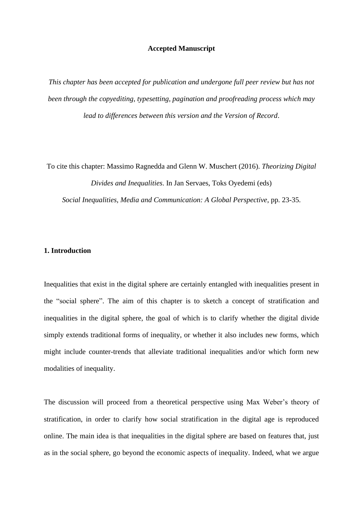### **Accepted Manuscript**

*This chapter has been accepted for publication and undergone full peer review but has not been through the copyediting, typesetting, pagination and proofreading process which may lead to differences between this version and the Version of Record*.

To cite this chapter: Massimo Ragnedda and Glenn W. Muschert (2016). *Theorizing Digital Divides and Inequalities*. In Jan Servaes, Toks Oyedemi (eds) *Social Inequalities, Media and Communication: A Global Perspective*, pp. 23-35.

# **1. Introduction**

Inequalities that exist in the digital sphere are certainly entangled with inequalities present in the "social sphere". The aim of this chapter is to sketch a concept of stratification and inequalities in the digital sphere, the goal of which is to clarify whether the digital divide simply extends traditional forms of inequality, or whether it also includes new forms, which might include counter-trends that alleviate traditional inequalities and/or which form new modalities of inequality.

The discussion will proceed from a theoretical perspective using Max Weber's theory of stratification, in order to clarify how social stratification in the digital age is reproduced online. The main idea is that inequalities in the digital sphere are based on features that, just as in the social sphere, go beyond the economic aspects of inequality. Indeed, what we argue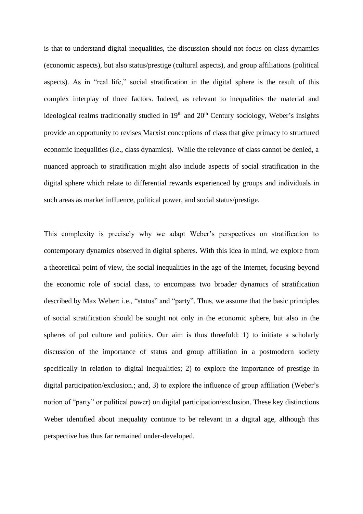is that to understand digital inequalities, the discussion should not focus on class dynamics (economic aspects), but also status/prestige (cultural aspects), and group affiliations (political aspects). As in "real life," social stratification in the digital sphere is the result of this complex interplay of three factors. Indeed, as relevant to inequalities the material and ideological realms traditionally studied in  $19<sup>th</sup>$  and  $20<sup>th</sup>$  Century sociology, Weber's insights provide an opportunity to revises Marxist conceptions of class that give primacy to structured economic inequalities (i.e., class dynamics). While the relevance of class cannot be denied, a nuanced approach to stratification might also include aspects of social stratification in the digital sphere which relate to differential rewards experienced by groups and individuals in such areas as market influence, political power, and social status/prestige.

This complexity is precisely why we adapt Weber's perspectives on stratification to contemporary dynamics observed in digital spheres. With this idea in mind, we explore from a theoretical point of view, the social inequalities in the age of the Internet, focusing beyond the economic role of social class, to encompass two broader dynamics of stratification described by Max Weber: i.e., "status" and "party". Thus, we assume that the basic principles of social stratification should be sought not only in the economic sphere, but also in the spheres of pol culture and politics. Our aim is thus threefold: 1) to initiate a scholarly discussion of the importance of status and group affiliation in a postmodern society specifically in relation to digital inequalities; 2) to explore the importance of prestige in digital participation/exclusion.; and, 3) to explore the influence of group affiliation (Weber's notion of "party" or political power) on digital participation/exclusion. These key distinctions Weber identified about inequality continue to be relevant in a digital age, although this perspective has thus far remained under-developed.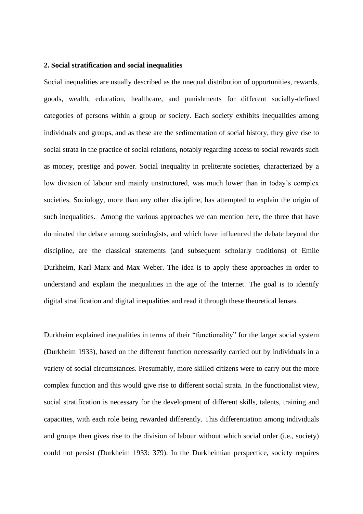### **2. Social stratification and social inequalities**

Social inequalities are usually described as the unequal distribution of opportunities, rewards, goods, wealth, education, healthcare, and punishments for different socially-defined categories of persons within a group or society. Each society exhibits inequalities among individuals and groups, and as these are the sedimentation of social history, they give rise to social strata in the practice of social relations, notably regarding access to social rewards such as money, prestige and power. Social inequality in preliterate societies, characterized by a low division of labour and mainly unstructured, was much lower than in today's complex societies. Sociology, more than any other discipline, has attempted to explain the origin of such inequalities. Among the various approaches we can mention here, the three that have dominated the debate among sociologists, and which have influenced the debate beyond the discipline, are the classical statements (and subsequent scholarly traditions) of Emile Durkheim, Karl Marx and Max Weber. The idea is to apply these approaches in order to understand and explain the inequalities in the age of the Internet. The goal is to identify digital stratification and digital inequalities and read it through these theoretical lenses.

Durkheim explained inequalities in terms of their "functionality" for the larger social system (Durkheim 1933), based on the different function necessarily carried out by individuals in a variety of social circumstances. Presumably, more skilled citizens were to carry out the more complex function and this would give rise to different social strata. In the functionalist view, social stratification is necessary for the development of different skills, talents, training and capacities, with each role being rewarded differently. This differentiation among individuals and groups then gives rise to the division of labour without which social order (i.e., society) could not persist (Durkheim 1933: 379). In the Durkheimian perspectice, society requires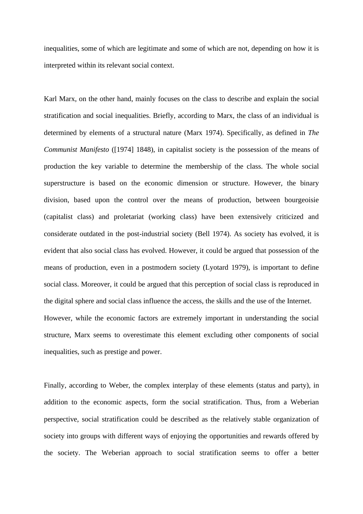inequalities, some of which are legitimate and some of which are not, depending on how it is interpreted within its relevant social context.

Karl Marx, on the other hand, mainly focuses on the class to describe and explain the social stratification and social inequalities. Briefly, according to Marx, the class of an individual is determined by elements of a structural nature (Marx 1974). Specifically, as defined in *The Communist Manifesto* ([1974] 1848), in capitalist society is the possession of the means of production the key variable to determine the membership of the class. The whole social superstructure is based on the economic dimension or structure. However, the binary division, based upon the control over the means of production, between bourgeoisie (capitalist class) and proletariat (working class) have been extensively criticized and considerate outdated in the post-industrial society (Bell 1974). As society has evolved, it is evident that also social class has evolved. However, it could be argued that possession of the means of production, even in a postmodern society (Lyotard 1979), is important to define social class. Moreover, it could be argued that this perception of social class is reproduced in the digital sphere and social class influence the access, the skills and the use of the Internet. However, while the economic factors are extremely important in understanding the social structure, Marx seems to overestimate this element excluding other components of social inequalities, such as prestige and power.

Finally, according to Weber, the complex interplay of these elements (status and party), in addition to the economic aspects, form the social stratification. Thus, from a Weberian perspective, social stratification could be described as the relatively stable organization of society into groups with different ways of enjoying the opportunities and rewards offered by the society. The Weberian approach to social stratification seems to offer a better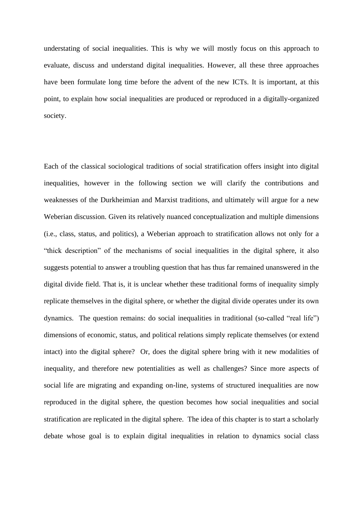understating of social inequalities. This is why we will mostly focus on this approach to evaluate, discuss and understand digital inequalities. However, all these three approaches have been formulate long time before the advent of the new ICTs. It is important, at this point, to explain how social inequalities are produced or reproduced in a digitally-organized society.

Each of the classical sociological traditions of social stratification offers insight into digital inequalities, however in the following section we will clarify the contributions and weaknesses of the Durkheimian and Marxist traditions, and ultimately will argue for a new Weberian discussion. Given its relatively nuanced conceptualization and multiple dimensions (i.e., class, status, and politics), a Weberian approach to stratification allows not only for a "thick description" of the mechanisms of social inequalities in the digital sphere, it also suggests potential to answer a troubling question that has thus far remained unanswered in the digital divide field. That is, it is unclear whether these traditional forms of inequality simply replicate themselves in the digital sphere, or whether the digital divide operates under its own dynamics. The question remains: do social inequalities in traditional (so-called "real life") dimensions of economic, status, and political relations simply replicate themselves (or extend intact) into the digital sphere? Or, does the digital sphere bring with it new modalities of inequality, and therefore new potentialities as well as challenges? Since more aspects of social life are migrating and expanding on-line, systems of structured inequalities are now reproduced in the digital sphere, the question becomes how social inequalities and social stratification are replicated in the digital sphere. The idea of this chapter is to start a scholarly debate whose goal is to explain digital inequalities in relation to dynamics social class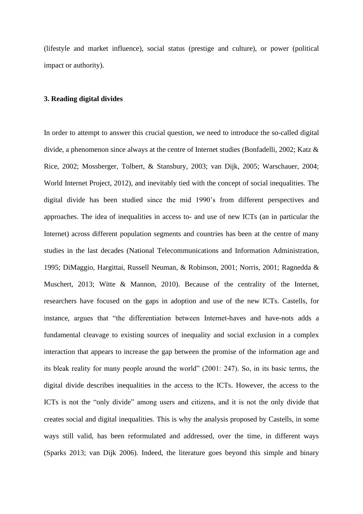(lifestyle and market influence), social status (prestige and culture), or power (political impact or authority).

#### **3. Reading digital divides**

In order to attempt to answer this crucial question, we need to introduce the so-called digital divide, a phenomenon since always at the centre of Internet studies (Bonfadelli, 2002; Katz & Rice, 2002; Mossberger, Tolbert, & Stansbury, 2003; van Dijk, 2005; Warschauer, 2004; World Internet Project, 2012), and inevitably tied with the concept of social inequalities. The digital divide has been studied since the mid 1990's from different perspectives and approaches. The idea of inequalities in access to- and use of new ICTs (an in particular the Internet) across different population segments and countries has been at the centre of many studies in the last decades (National Telecommunications and Information Administration, 1995; DiMaggio, Hargittai, Russell Neuman, & Robinson, 2001; Norris, 2001; Ragnedda & Muschert, 2013; Witte & Mannon, 2010). Because of the centrality of the Internet, researchers have focused on the gaps in adoption and use of the new ICTs. Castells, for instance, argues that "the differentiation between Internet-haves and have-nots adds a fundamental cleavage to existing sources of inequality and social exclusion in a complex interaction that appears to increase the gap between the promise of the information age and its bleak reality for many people around the world" (2001: 247). So, in its basic terms, the digital divide describes inequalities in the access to the ICTs. However, the access to the ICTs is not the "only divide" among users and citizens, and it is not the only divide that creates social and digital inequalities. This is why the analysis proposed by Castells, in some ways still valid, has been reformulated and addressed, over the time, in different ways (Sparks 2013; van Dijk 2006). Indeed, the literature goes beyond this simple and binary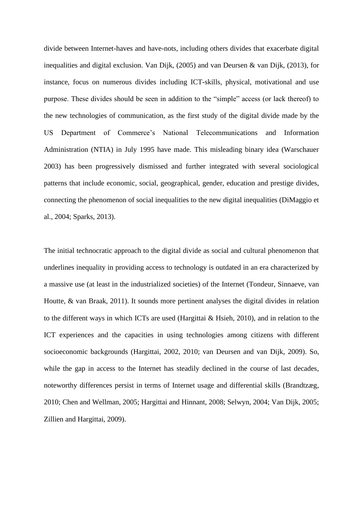divide between Internet-haves and have-nots, including others divides that exacerbate digital inequalities and digital exclusion. Van Dijk, (2005) and van Deursen & van Dijk, (2013), for instance, focus on numerous divides including ICT-skills, physical, motivational and use purpose. These divides should be seen in addition to the "simple" access (or lack thereof) to the new technologies of communication, as the first study of the digital divide made by the US Department of Commerce's National Telecommunications and Information Administration (NTIA) in July 1995 have made. This misleading binary idea (Warschauer 2003) has been progressively dismissed and further integrated with several sociological patterns that include economic, social, geographical, gender, education and prestige divides, connecting the phenomenon of social inequalities to the new digital inequalities (DiMaggio et al., 2004; Sparks, 2013).

The initial technocratic approach to the digital divide as social and cultural phenomenon that underlines inequality in providing access to technology is outdated in an era characterized by a massive use (at least in the industrialized societies) of the Internet (Tondeur, Sinnaeve, van Houtte, & van Braak, 2011). It sounds more pertinent analyses the digital divides in relation to the different ways in which ICTs are used (Hargittai & Hsieh, 2010), and in relation to the ICT experiences and the capacities in using technologies among citizens with different socioeconomic backgrounds (Hargittai, 2002, 2010; van Deursen and van Dijk, 2009). So, while the gap in access to the Internet has steadily declined in the course of last decades, noteworthy differences persist in terms of Internet usage and differential skills (Brandtzæg, 2010; Chen and Wellman, 2005; Hargittai and Hinnant, 2008; Selwyn, 2004; Van Dijk, 2005; Zillien and Hargittai, 2009).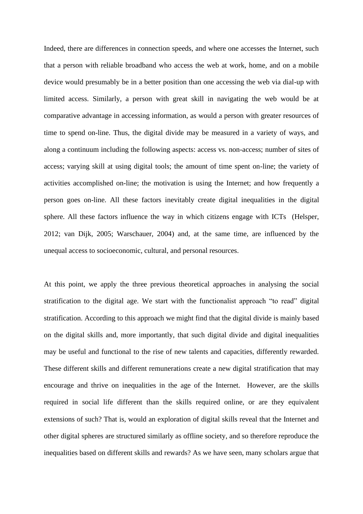Indeed, there are differences in connection speeds, and where one accesses the Internet, such that a person with reliable broadband who access the web at work, home, and on a mobile device would presumably be in a better position than one accessing the web via dial-up with limited access. Similarly, a person with great skill in navigating the web would be at comparative advantage in accessing information, as would a person with greater resources of time to spend on-line. Thus, the digital divide may be measured in a variety of ways, and along a continuum including the following aspects: access vs. non-access; number of sites of access; varying skill at using digital tools; the amount of time spent on-line; the variety of activities accomplished on-line; the motivation is using the Internet; and how frequently a person goes on-line. All these factors inevitably create digital inequalities in the digital sphere. All these factors influence the way in which citizens engage with ICTs (Helsper, 2012; van Dijk, 2005; Warschauer, 2004) and, at the same time, are influenced by the unequal access to socioeconomic, cultural, and personal resources.

At this point, we apply the three previous theoretical approaches in analysing the social stratification to the digital age. We start with the functionalist approach "to read" digital stratification. According to this approach we might find that the digital divide is mainly based on the digital skills and, more importantly, that such digital divide and digital inequalities may be useful and functional to the rise of new talents and capacities, differently rewarded. These different skills and different remunerations create a new digital stratification that may encourage and thrive on inequalities in the age of the Internet. However, are the skills required in social life different than the skills required online, or are they equivalent extensions of such? That is, would an exploration of digital skills reveal that the Internet and other digital spheres are structured similarly as offline society, and so therefore reproduce the inequalities based on different skills and rewards? As we have seen, many scholars argue that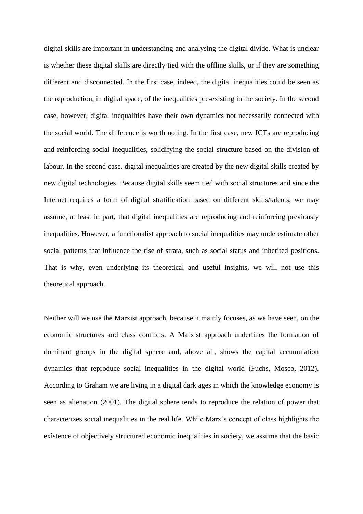digital skills are important in understanding and analysing the digital divide. What is unclear is whether these digital skills are directly tied with the offline skills, or if they are something different and disconnected. In the first case, indeed, the digital inequalities could be seen as the reproduction, in digital space, of the inequalities pre-existing in the society. In the second case, however, digital inequalities have their own dynamics not necessarily connected with the social world. The difference is worth noting. In the first case, new ICTs are reproducing and reinforcing social inequalities, solidifying the social structure based on the division of labour. In the second case, digital inequalities are created by the new digital skills created by new digital technologies. Because digital skills seem tied with social structures and since the Internet requires a form of digital stratification based on different skills/talents, we may assume, at least in part, that digital inequalities are reproducing and reinforcing previously inequalities. However, a functionalist approach to social inequalities may underestimate other social patterns that influence the rise of strata, such as social status and inherited positions. That is why, even underlying its theoretical and useful insights, we will not use this theoretical approach.

Neither will we use the Marxist approach, because it mainly focuses, as we have seen, on the economic structures and class conflicts. A Marxist approach underlines the formation of dominant groups in the digital sphere and, above all, shows the capital accumulation dynamics that reproduce social inequalities in the digital world (Fuchs, Mosco, 2012). According to Graham we are living in a digital dark ages in which the knowledge economy is seen as alienation (2001). The digital sphere tends to reproduce the relation of power that characterizes social inequalities in the real life. While Marx's concept of class highlights the existence of objectively structured economic inequalities in society, we assume that the basic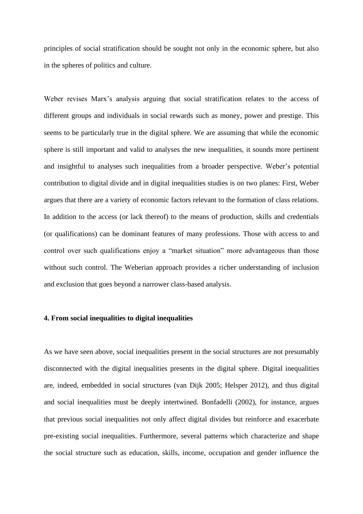principles of social stratification should be sought not only in the economic sphere, but also in the spheres of politics and culture.

Weber revises Marx's analysis arguing that social stratification relates to the access of different groups and individuals in social rewards such as money, power and prestige. This seems to be particularly true in the digital sphere. We are assuming that while the economic sphere is still important and valid to analyses the new inequalities, it sounds more pertinent and insightful to analyses such inequalities from a broader perspective. Weber's potential contribution to digital divide and in digital inequalities studies is on two planes: First, Weber argues that there are a variety of economic factors relevant to the formation of class relations. In addition to the access (or lack thereof) to the means of production, skills and credentials (or qualifications) can be dominant features of many professions. Those with access to and control over such qualifications enjoy a "market situation" more advantageous than those without such control. The Weberian approach provides a richer understanding of inclusion and exclusion that goes beyond a narrower class-based analysis.

## **4. From social inequalities to digital inequalities**

As we have seen above, social inequalities present in the social structures are not presumably disconnected with the digital inequalities presents in the digital sphere. Digital inequalities are, indeed, embedded in social structures (van Dijk 2005; Helsper 2012), and thus digital and social inequalities must be deeply intertwined. Bonfadelli (2002), for instance, argues that previous social inequalities not only affect digital divides but reinforce and exacerbate pre-existing social inequalities. Furthermore, several patterns which characterize and shape the social structure such as education, skills, income, occupation and gender influence the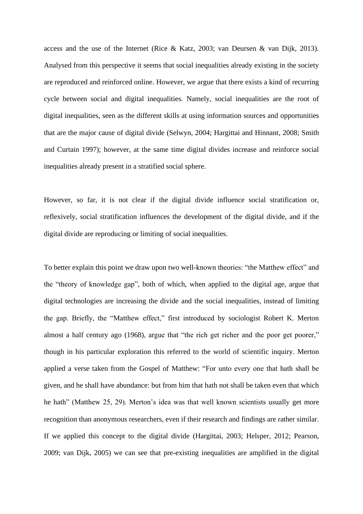access and the use of the Internet (Rice & Katz, 2003; van Deursen & van Dijk, 2013). Analysed from this perspective it seems that social inequalities already existing in the society are reproduced and reinforced online. However, we argue that there exists a kind of recurring cycle between social and digital inequalities. Namely, social inequalities are the root of digital inequalities, seen as the different skills at using information sources and opportunities that are the major cause of digital divide (Selwyn, 2004; Hargittai and Hinnant, 2008; Smith and Curtain 1997); however, at the same time digital divides increase and reinforce social inequalities already present in a stratified social sphere.

However, so far, it is not clear if the digital divide influence social stratification or, reflexively, social stratification influences the development of the digital divide, and if the digital divide are reproducing or limiting of social inequalities.

To better explain this point we draw upon two well-known theories: "the Matthew effect" and the "theory of knowledge gap", both of which, when applied to the digital age, argue that digital technologies are increasing the divide and the social inequalities, instead of limiting the gap. Briefly, the "Matthew effect," first introduced by sociologist Robert K. Merton almost a half century ago (1968), argue that "the rich get richer and the poor get poorer," though in his particular exploration this referred to the world of scientific inquiry. Merton applied a verse taken from the Gospel of Matthew: "For unto every one that hath shall be given, and he shall have abundance: but from him that hath not shall be taken even that which he hath" (Matthew 25, 29). Merton's idea was that well known scientists usually get more recognition than anonymous researchers, even if their research and findings are rather similar. If we applied this concept to the digital divide (Hargittai, 2003; Helsper, 2012; Pearson, 2009; van Dijk, 2005) we can see that pre-existing inequalities are amplified in the digital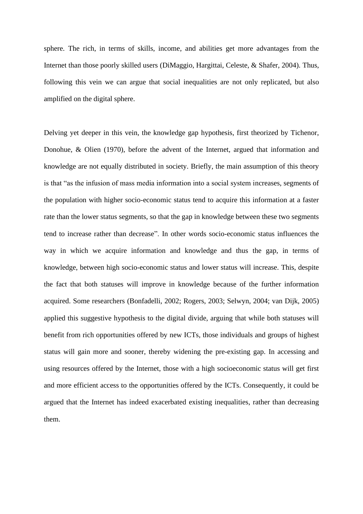sphere. The rich, in terms of skills, income, and abilities get more advantages from the Internet than those poorly skilled users (DiMaggio, Hargittai, Celeste, & Shafer, 2004). Thus, following this vein we can argue that social inequalities are not only replicated, but also amplified on the digital sphere.

Delving yet deeper in this vein, the knowledge gap hypothesis, first theorized by Tichenor, Donohue, & Olien (1970), before the advent of the Internet, argued that information and knowledge are not equally distributed in society. Briefly, the main assumption of this theory is that "as the infusion of mass media information into a social system increases, segments of the population with higher socio-economic status tend to acquire this information at a faster rate than the lower status segments, so that the gap in knowledge between these two segments tend to increase rather than decrease". In other words socio-economic status influences the way in which we acquire information and knowledge and thus the gap, in terms of knowledge, between high socio-economic status and lower status will increase. This, despite the fact that both statuses will improve in knowledge because of the further information acquired. Some researchers (Bonfadelli, 2002; Rogers, 2003; Selwyn, 2004; van Dijk, 2005) applied this suggestive hypothesis to the digital divide, arguing that while both statuses will benefit from rich opportunities offered by new ICTs, those individuals and groups of highest status will gain more and sooner, thereby widening the pre-existing gap. In accessing and using resources offered by the Internet, those with a high socioeconomic status will get first and more efficient access to the opportunities offered by the ICTs. Consequently, it could be argued that the Internet has indeed exacerbated existing inequalities, rather than decreasing them.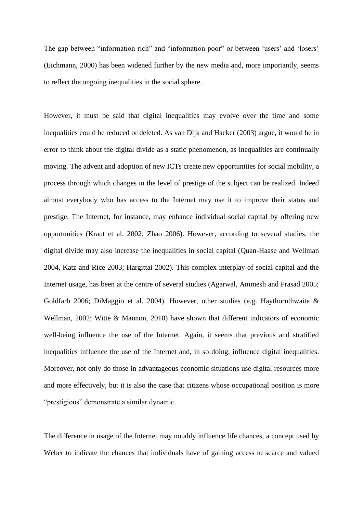The gap between "information rich" and "information poor" or between 'users' and 'losers' (Eichmann, 2000) has been widened further by the new media and, more importantly, seems to reflect the ongoing inequalities in the social sphere.

However, it must be said that digital inequalities may evolve over the time and some inequalities could be reduced or deleted. As van Dijk and Hacker (2003) argue, it would be in error to think about the digital divide as a static phenomenon, as inequalities are continually moving. The advent and adoption of new ICTs create new opportunities for social mobility, a process through which changes in the level of prestige of the subject can be realized. Indeed almost everybody who has access to the Internet may use it to improve their status and prestige. The Internet, for instance, may enhance individual social capital by offering new opportunities (Kraut et al. 2002; Zhao 2006). However, according to several studies, the digital divide may also increase the inequalities in social capital (Quan-Haase and Wellman 2004, Katz and Rice 2003; Hargittai 2002). This complex interplay of social capital and the Internet usage, has been at the centre of several studies (Agarwal, Animesh and Prasad 2005; Goldfarb 2006; DiMaggio et al. 2004). However, other studies (e.g. Haythornthwaite & Wellman, 2002; Witte & Mannon, 2010) have shown that different indicators of economic well-being influence the use of the Internet. Again, it seems that previous and stratified inequalities influence the use of the Internet and, in so doing, influence digital inequalities. Moreover, not only do those in advantageous economic situations use digital resources more and more effectively, but it is also the case that citizens whose occupational position is more "prestigious" demonstrate a similar dynamic.

The difference in usage of the Internet may notably influence life chances, a concept used by Weber to indicate the chances that individuals have of gaining access to scarce and valued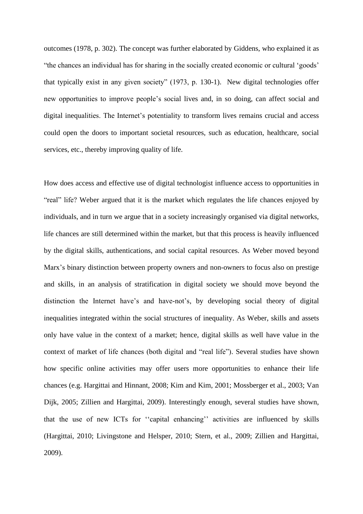outcomes (1978, p. 302). The concept was further elaborated by Giddens, who explained it as "the chances an individual has for sharing in the socially created economic or cultural 'goods' that typically exist in any given society" (1973, p. 130-1). New digital technologies offer new opportunities to improve people's social lives and, in so doing, can affect social and digital inequalities. The Internet's potentiality to transform lives remains crucial and access could open the doors to important societal resources, such as education, healthcare, social services, etc., thereby improving quality of life.

How does access and effective use of digital technologist influence access to opportunities in "real" life? Weber argued that it is the market which regulates the life chances enjoyed by individuals, and in turn we argue that in a society increasingly organised via digital networks, life chances are still determined within the market, but that this process is heavily influenced by the digital skills, authentications, and social capital resources. As Weber moved beyond Marx's binary distinction between property owners and non-owners to focus also on prestige and skills, in an analysis of stratification in digital society we should move beyond the distinction the Internet have's and have-not's, by developing social theory of digital inequalities integrated within the social structures of inequality. As Weber, skills and assets only have value in the context of a market; hence, digital skills as well have value in the context of market of life chances (both digital and "real life"). Several studies have shown how specific online activities may offer users more opportunities to enhance their life chances (e.g. Hargittai and Hinnant, 2008; Kim and Kim, 2001; Mossberger et al., 2003; Van Dijk, 2005; Zillien and Hargittai, 2009). Interestingly enough, several studies have shown, that the use of new ICTs for ''capital enhancing'' activities are influenced by skills (Hargittai, 2010; Livingstone and Helsper, 2010; Stern, et al., 2009; Zillien and Hargittai, 2009).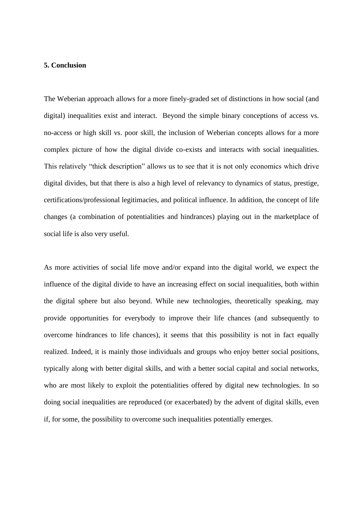#### **5. Conclusion**

The Weberian approach allows for a more finely-graded set of distinctions in how social (and digital) inequalities exist and interact. Beyond the simple binary conceptions of access vs. no-access or high skill vs. poor skill, the inclusion of Weberian concepts allows for a more complex picture of how the digital divide co-exists and interacts with social inequalities. This relatively "thick description" allows us to see that it is not only economics which drive digital divides, but that there is also a high level of relevancy to dynamics of status, prestige, certifications/professional legitimacies, and political influence. In addition, the concept of life changes (a combination of potentialities and hindrances) playing out in the marketplace of social life is also very useful.

As more activities of social life move and/or expand into the digital world, we expect the influence of the digital divide to have an increasing effect on social inequalities, both within the digital sphere but also beyond. While new technologies, theoretically speaking, may provide opportunities for everybody to improve their life chances (and subsequently to overcome hindrances to life chances), it seems that this possibility is not in fact equally realized. Indeed, it is mainly those individuals and groups who enjoy better social positions, typically along with better digital skills, and with a better social capital and social networks, who are most likely to exploit the potentialities offered by digital new technologies. In so doing social inequalities are reproduced (or exacerbated) by the advent of digital skills, even if, for some, the possibility to overcome such inequalities potentially emerges.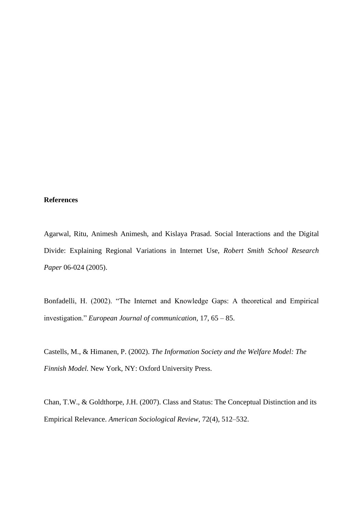# **References**

Agarwal, Ritu, Animesh Animesh, and Kislaya Prasad. Social Interactions and the Digital Divide: Explaining Regional Variations in Internet Use, *Robert Smith School Research Paper* 06-024 (2005).

Bonfadelli, H. (2002). "The Internet and Knowledge Gaps: A theoretical and Empirical investigation." *European Journal of communication,* 17, 65 – 85.

Castells, M., & Himanen, P. (2002). *The Information Society and the Welfare Model: The Finnish Model.* New York, NY: Oxford University Press.

Chan, T.W., & Goldthorpe, J.H. (2007). Class and Status: The Conceptual Distinction and its Empirical Relevance. *American Sociological Review*, 72(4), 512–532.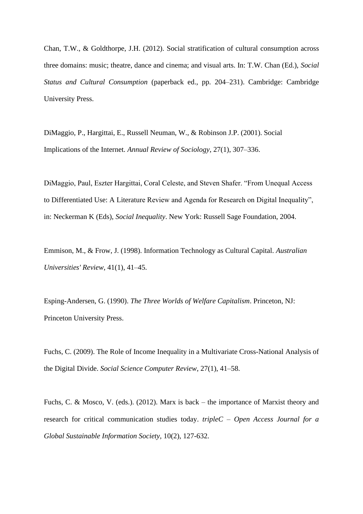Chan, T.W., & Goldthorpe, J.H. (2012). Social stratification of cultural consumption across three domains: music; theatre, dance and cinema; and visual arts. In: T.W. Chan (Ed.), *Social Status and Cultural Consumption* (paperback ed., pp. 204–231). Cambridge: Cambridge University Press.

DiMaggio, P., Hargittai, E., Russell Neuman, W., & Robinson J.P. (2001). Social Implications of the Internet. *Annual Review of Sociology*, 27(1), 307–336.

DiMaggio, Paul, Eszter Hargittai, Coral Celeste, and Steven Shafer. "From Unequal Access to Differentiated Use: A Literature Review and Agenda for Research on Digital Inequality", in: Neckerman K (Eds), *Social Inequality*. New York: Russell Sage Foundation, 2004.

Emmison, M., & Frow, J. (1998). Information Technology as Cultural Capital. *Australian Universities' Review*, 41(1), 41–45.

Esping-Andersen, G. (1990). *The Three Worlds of Welfare Capitalism*. Princeton, NJ: Princeton University Press.

Fuchs, C. (2009). The Role of Income Inequality in a Multivariate Cross-National Analysis of the Digital Divide. *Social Science Computer Review*, 27(1), 41–58.

Fuchs, C. & Mosco, V. (eds.). (2012). Marx is back – the importance of Marxist theory and research for critical communication studies today. *tripleC – Open Access Journal for a Global Sustainable Information Society,* 10(2), 127-632.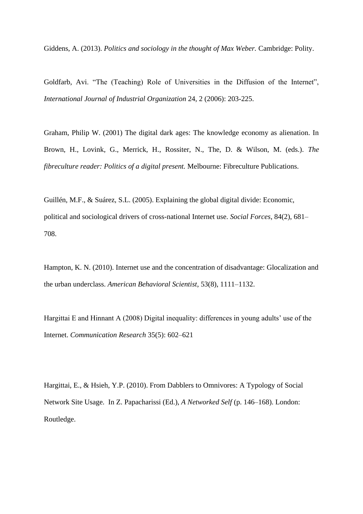Giddens, A. (2013). *Politics and sociology in the thought of Max Weber.* Cambridge: Polity.

Goldfarb, Avi. "The (Teaching) Role of Universities in the Diffusion of the Internet", *International Journal of Industrial Organization* 24, 2 (2006): 203-225.

Graham, Philip W. (2001) The digital dark ages: The knowledge economy as alienation. In Brown, H., Lovink, G., Merrick, H., Rossiter, N., The, D. & Wilson, M. (eds.). *The fibreculture reader: Politics of a digital present.* Melbourne: Fibreculture Publications.

Guillén, M.F., & Suárez, S.L. (2005). Explaining the global digital divide: Economic, political and sociological drivers of cross-national Internet use. *Social Forces*, 84(2), 681– 708.

Hampton, K. N. (2010). Internet use and the concentration of disadvantage: Glocalization and the urban underclass. *American Behavioral Scientist*, 53(8), 1111–1132.

Hargittai E and Hinnant A (2008) Digital inequality: differences in young adults' use of the Internet. *Communication Research* 35(5): 602–621

Hargittai, E., & Hsieh, Y.P. (2010). From Dabblers to Omnivores: A Typology of Social Network Site Usage. In Z. Papacharissi (Ed.), *A Networked Self* (p. 146–168). London: Routledge.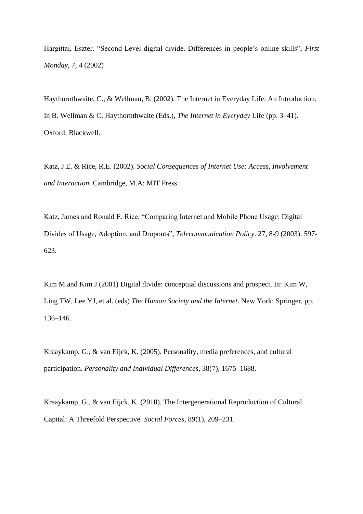Hargittai, Eszter. "Second-Level digital divide. Differences in people's online skills", *First Monday*, 7, 4 (2002)

Haythornthwaite, C., & Wellman, B. (2002). The Internet in Everyday Life: An Introduction. In B. Wellman & C. Haythornthwaite (Eds.), *The Internet in Everyday* Life (pp. 3–41). Oxford: Blackwell.

Katz, J.E. & Rice, R.E. (2002). *Social Consequences of Internet Use: Access, Involvement and Interaction*. Cambridge, M.A: MIT Press.

Katz, James and Ronald E. Rice. "Comparing Internet and Mobile Phone Usage: Digital Divides of Usage, Adoption, and Dropouts", *Telecommunication Policy*. 27, 8-9 (2003): 597- 623.

Kim M and Kim J (2001) Digital divide: conceptual discussions and prospect. In: Kim W, Ling TW, Lee YJ, et al. (eds) *The Human Society and the Internet*. New York: Springer, pp. 136–146.

Kraaykamp, G., & van Eijck, K. (2005). Personality, media preferences, and cultural participation. *Personality and Individual Differences*, 38(7), 1675–1688.

Kraaykamp, G., & van Eijck, K. (2010). The Intergenerational Reproduction of Cultural Capital: A Threefold Perspective. *Social Forces*, 89(1), 209–231.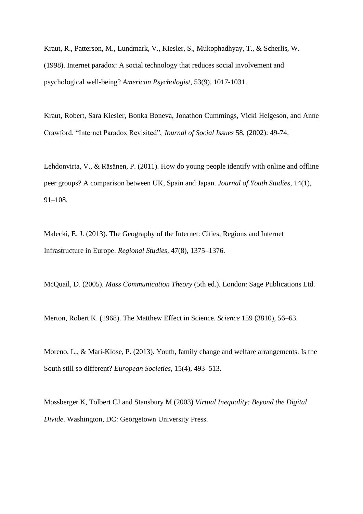Kraut, R., Patterson, M., Lundmark, V., Kiesler, S., Mukophadhyay, T., & Scherlis, W. (1998). Internet paradox: A social technology that reduces social involvement and psychological well-being? *American Psychologist*, 53(9), 1017-1031.

Kraut, Robert, Sara Kiesler, Bonka Boneva, Jonathon Cummings, Vicki Helgeson, and Anne Crawford. "Internet Paradox Revisited", *Journal of Social Issues* 58, (2002): 49-74.

Lehdonvirta, V., & Räsänen, P. (2011). How do young people identify with online and offline peer groups? A comparison between UK, Spain and Japan. *Journal of Youth Studies*, 14(1), 91–108.

Malecki, E. J. (2013). The Geography of the Internet: Cities, Regions and Internet Infrastructure in Europe. *Regional Studies*, 47(8), 1375–1376.

McQuail, D. (2005). *Mass Communication Theory* (5th ed.). London: Sage Publications Ltd.

Merton, Robert K. (1968). The Matthew Effect in Science. *Science* 159 (3810), 56–63.

Moreno, L., & Marí-Klose, P. (2013). Youth, family change and welfare arrangements. Is the South still so different? *European Societies*, 15(4), 493–513.

Mossberger K, Tolbert CJ and Stansbury M (2003) *Virtual Inequality: Beyond the Digital Divide*. Washington, DC: Georgetown University Press.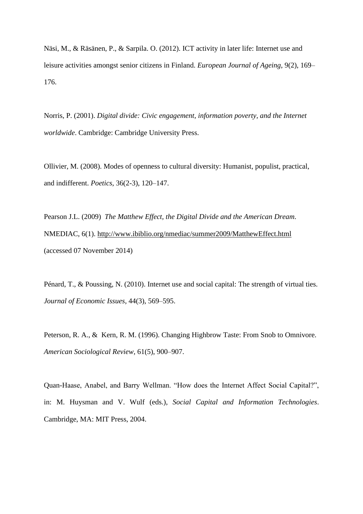Näsi, M., & Räsänen, P., & Sarpila. O. (2012). ICT activity in later life: Internet use and leisure activities amongst senior citizens in Finland. *European Journal of Ageing*, 9(2), 169– 176.

Norris, P. (2001). *Digital divide: Civic engagement, information poverty, and the Internet worldwide*. Cambridge: Cambridge University Press.

Ollivier, M. (2008). Modes of openness to cultural diversity: Humanist, populist, practical, and indifferent. *Poetics*, 36(2-3), 120–147.

Pearson J.L. (2009) *The Matthew Effect, the Digital Divide and the American Dream*. NMEDIAC, 6(1).<http://www.ibiblio.org/nmediac/summer2009/MatthewEffect.html> (accessed 07 November 2014)

Pénard, T., & Poussing, N. (2010). Internet use and social capital: The strength of virtual ties. *Journal of Economic Issues*, 44(3), 569–595.

Peterson, R. A., & Kern, R. M. (1996). Changing Highbrow Taste: From Snob to Omnivore. *American Sociological Review*, 61(5), 900–907.

Quan-Haase, Anabel, and Barry Wellman. "How does the Internet Affect Social Capital?", in: M. Huysman and V. Wulf (eds.), *Social Capital and Information Technologies*. Cambridge, MA: MIT Press, 2004.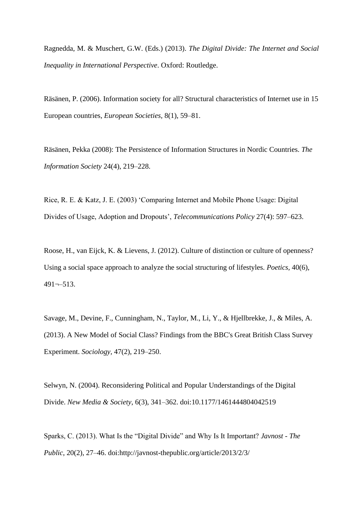Ragnedda, M. & Muschert, G.W. (Eds.) (2013). *The Digital Divide: The Internet and Social Inequality in International Perspective*. Oxford: Routledge.

Räsänen, P. (2006). Information society for all? Structural characteristics of Internet use in 15 European countries, *European Societies,* 8(1), 59–81.

Räsänen, Pekka (2008): The Persistence of Information Structures in Nordic Countries. *The Information Society* 24(4), 219–228.

Rice, R. E. & Katz, J. E. (2003) 'Comparing Internet and Mobile Phone Usage: Digital Divides of Usage, Adoption and Dropouts', *Telecommunications Policy* 27(4): 597–623.

Roose, H., van Eijck, K. & Lievens, J. (2012). Culture of distinction or culture of openness? Using a social space approach to analyze the social structuring of lifestyles. *Poetics,* 40(6), 491¬–513.

Savage, M., Devine, F., Cunningham, N., Taylor, M., Li, Y., & Hjellbrekke, J., & Miles, A. (2013). A New Model of Social Class? Findings from the BBC's Great British Class Survey Experiment. *Sociology,* 47(2), 219–250.

Selwyn, N. (2004). Reconsidering Political and Popular Understandings of the Digital Divide. *New Media & Society*, 6(3), 341–362. doi:10.1177/1461444804042519

Sparks, C. (2013). What Is the "Digital Divide" and Why Is It Important? *Javnost - The Public*, 20(2), 27–46. doi:http://javnost-thepublic.org/article/2013/2/3/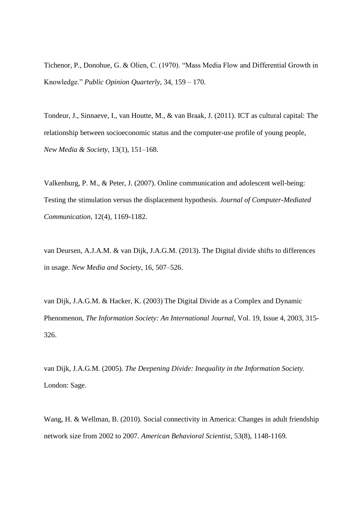Tichenor, P., Donohue, G. & Olien, C. (1970). "Mass Media Flow and Differential Growth in Knowledge." *Public Opinion Quarterly*, 34, 159 – 170.

Tondeur, J., Sinnaeve, I., van Houtte, M., & van Braak, J. (2011). ICT as cultural capital: The relationship between socioeconomic status and the computer-use profile of young people, *New Media & Society*, 13(1), 151–168.

Valkenburg, P. M., & Peter, J. (2007). Online communication and adolescent well-being: Testing the stimulation versus the displacement hypothesis. *Journal of Computer-Mediated Communication*, 12(4), 1169-1182.

van Deursen, A.J.A.M. & van Dijk, J.A.G.M. (2013). The Digital divide shifts to differences in usage. *New Media and Society*, 16, 507–526.

van Dijk, J.A.G.M. & Hacker, K. (2003) The Digital Divide as a Complex and Dynamic Phenomenon, *The Information Society: An International Journal*, Vol. 19, Issue 4, 2003, 315- 326.

van Dijk, J.A.G.M. (2005). *The Deepening Divide: Inequality in the Information Society.* London: Sage.

Wang, H. & Wellman, B. (2010). Social connectivity in America: Changes in adult friendship network size from 2002 to 2007. *American Behavioral Scientist*, 53(8), 1148-1169.